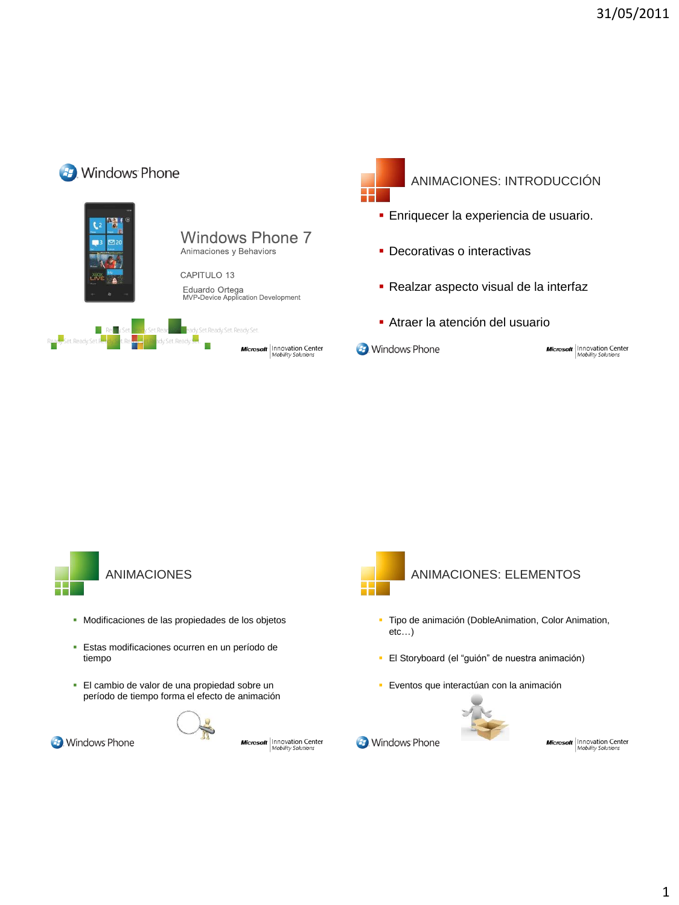



**B**. Windows Phone

- Modificaciones de las propiedades de los objetos
- Estas modificaciones ocurren en un período de tiempo
- El cambio de valor de una propiedad sobre un período de tiempo forma el efecto de animación



**Microsoft** | Innovation Center



**B**. Windows Phone

- Tipo de animación (DobleAnimation, Color Animation, etc…)
- El Storyboard (el "guión" de nuestra animación)
- Eventos que interactúan con la animación



**Microsoft** | Innovation Center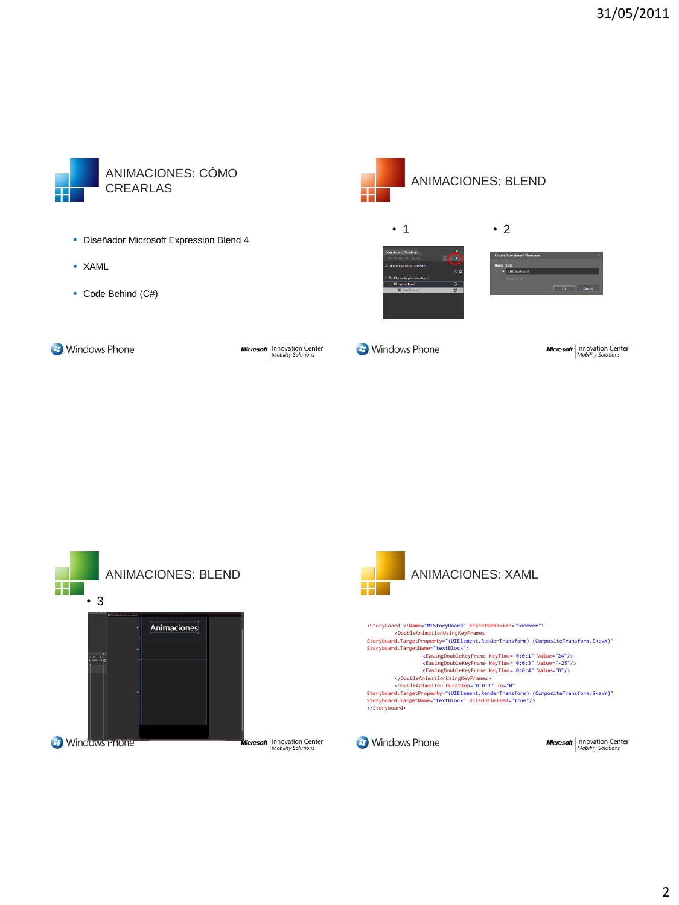

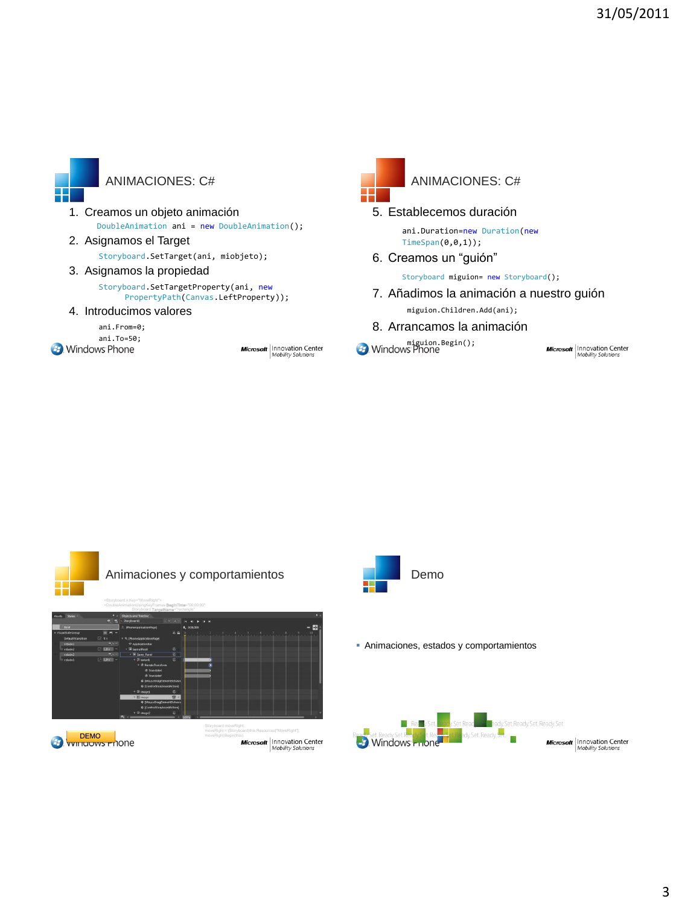

## ANIMACIONES: C#

- 1. Creamos un objeto animación DoubleAnimation ani = new DoubleAnimation();
- 2. Asignamos el Target Storyboard.SetTarget(ani, miobjeto);
- 3. Asignamos la propiedad

Storyboard**.SetTargetProperty(ani, new**<br>PropertyPath**(**Canvas**.LeftProperty));** 

4. Introducimos valores

ani.From=0; ani.To=50;<br>Mindows Phone:

**Microsoft** | Innovation Center



## ANIMACIONES: C#

5. Establecemos duración ani.Duration=new Duration(new

TimeSpan(0,0,1)); 6. Creamos un "guión"

Storyboard miguion= new Storyboard();

- 7. Añadimos la animación a nuestro guión miguion.Children.Add(ani);
- 8. Arrancamos la animación

**Mindows Phone**<br> **Mindows Phone** 

**Microsoft** | Innovation Center









Animaciones, estados y comportamientos